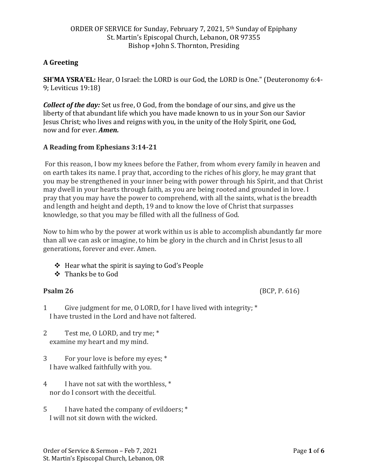# **A Greeting**

**SH'MA YSRA'EL:** Hear, O Israel: the LORD is our God, the LORD is One." (Deuteronomy 6:4- 9; Leviticus 19:18)

*Collect of the day:* Set us free, O God, from the bondage of our sins, and give us the liberty of that abundant life which you have made known to us in your Son our Savior Jesus Christ; who lives and reigns with you, in the unity of the Holy Spirit, one God, now and for ever. *Amen.*

# **A Reading from Ephesians 3:14-21**

For this reason, I bow my knees before the Father, from whom every family in heaven and on earth takes its name. I pray that, according to the riches of his glory, he may grant that you may be strengthened in your inner being with power through his Spirit, and that Christ may dwell in your hearts through faith, as you are being rooted and grounded in love. I pray that you may have the power to comprehend, with all the saints, what is the breadth and length and height and depth, 19 and to know the love of Christ that surpasses knowledge, so that you may be filled with all the fullness of God.

Now to him who by the power at work within us is able to accomplish abundantly far more than all we can ask or imagine, to him be glory in the church and in Christ Jesus to all generations, forever and ever. Amen.

- ❖ Hear what the spirit is saying to God's People
- ❖ Thanks be to God

**Psalm 26** (BCP, P. 616)

- 1 Give judgment for me, O LORD, for I have lived with integrity; \* I have trusted in the Lord and have not faltered.
- 2 Test me, O LORD, and try me; \* examine my heart and my mind.
- 3 For your love is before my eyes; \* I have walked faithfully with you.
- 4 I have not sat with the worthless, \* nor do I consort with the deceitful.
- 5 I have hated the company of evildoers; \* I will not sit down with the wicked.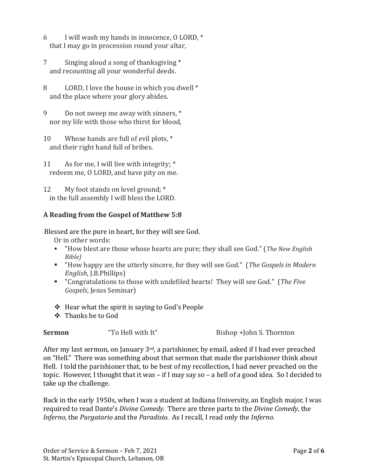- 6 I will wash my hands in innocence, O LORD, \* that I may go in procession round your altar,
- 7 Singing aloud a song of thanksgiving \* and recounting all your wonderful deeds.
- 8 LORD, I love the house in which you dwell \* and the place where your glory abides.
- 9 Do not sweep me away with sinners, \* nor my life with those who thirst for blood,
- 10 Whose hands are full of evil plots,  $*$ and their right hand full of bribes.
- 11 As for me, I will live with integrity; \* redeem me, O LORD, and have pity on me.
- 12 My foot stands on level ground; \* in the full assembly I will bless the LORD.

# **A Reading from the Gospel of Matthew 5:8**

Blessed are the pure in heart, for they will see God.

Or in other words:

- "How blest are those whose hearts are pure; they shall see God." (*The New English Bible)*
- "How happy are the utterly sincere, for they will see God." (*The Gospels in Modern English*, J.B.Phillips)
- "Congratulations to those with undefiled hearts! They will see God." (*The Five Gospels*, Jesus Seminar)
- ❖ Hear what the spirit is saying to God's People
- ❖ Thanks be to God

| "To Hell with It"<br>Bishop +John S. Thornton<br><b>Sermon</b> |  |  |
|----------------------------------------------------------------|--|--|
|----------------------------------------------------------------|--|--|

After my last sermon, on January 3<sup>rd</sup>, a parishioner, by email, asked if I had ever preached on "Hell." There was something about that sermon that made the parishioner think about Hell. I told the parishioner that, to be best of my recollection, I had never preached on the topic. However, I thought that it was – if I may say so – a hell of a good idea. So I decided to take up the challenge.

Back in the early 1950s, when I was a student at Indiana University, an English major, I was required to read Dante's *Divine Comedy.* There are three parts to the *Divine Comedy*, the *Inferno*, the *Purgatorio* and the *Paradisio.* As I recall, I read only the *Inferno.*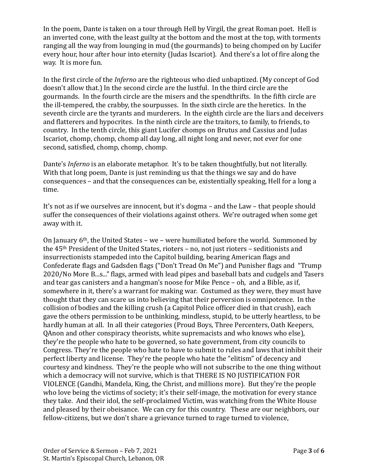In the poem, Dante is taken on a tour through Hell by Virgil, the great Roman poet. Hell is an inverted cone, with the least guilty at the bottom and the most at the top, with torments ranging all the way from lounging in mud (the gourmands) to being chomped on by Lucifer every hour, hour after hour into eternity (Judas Iscariot). And there's a lot of fire along the way. It is more fun.

In the first circle of the *Inferno* are the righteous who died unbaptized. (My concept of God doesn't allow that.) In the second circle are the lustful. In the third circle are the gourmands. In the fourth circle are the misers and the spendthrifts. In the fifth circle are the ill-tempered, the crabby, the sourpusses. In the sixth circle are the heretics. In the seventh circle are the tyrants and murderers. In the eighth circle are the liars and deceivers and flatterers and hypocrites. In the ninth circle are the traitors, to family, to friends, to country. In the tenth circle, this giant Lucifer chomps on Brutus and Cassius and Judas Iscariot, chomp, chomp, chomp all day long, all night long and never, not ever for one second, satisfied, chomp, chomp, chomp.

Dante's *Inferno* is an elaborate metaphor. It's to be taken thoughtfully, but not literally. With that long poem, Dante is just reminding us that the things we say and do have consequences – and that the consequences can be, existentially speaking, Hell for a long a time.

It's not as if we ourselves are innocent, but it's dogma – and the Law – that people should suffer the consequences of their violations against others. We're outraged when some get away with it.

On January 6th, the United States – we – were humiliated before the world. Summoned by the 45th President of the United States, rioters – no, not just rioters – seditionists and insurrectionists stampeded into the Capitol building, bearing American flags and Confederate flags and Gadsden flags ("Don't Tread On Me") and Punisher flags and "Trump 2020/No More B...s..." flags, armed with lead pipes and baseball bats and cudgels and Tasers and tear gas canisters and a hangman's noose for Mike Pence – oh, and a Bible, as if, somewhere in it, there's a warrant for making war. Costumed as they were, they must have thought that they can scare us into believing that their perversion is omnipotence. In the collision of bodies and the killing crush (a Capitol Police officer died in that crush), each gave the others permission to be unthinking, mindless, stupid, to be utterly heartless, to be hardly human at all. In all their categories (Proud Boys, Three Percenters, Oath Keepers, QAnon and other conspiracy theorists, white supremacists and who knows who else), they're the people who hate to be governed, so hate government, from city councils to Congress. They're the people who hate to have to submit to rules and laws that inhibit their perfect liberty and license. They're the people who hate the "elitism" of decency and courtesy and kindness. They're the people who will not subscribe to the one thing without which a democracy will not survive, which is that THERE IS NO JUSTIFICATION FOR VIOLENCE (Gandhi, Mandela, King, the Christ, and millions more). But they're the people who love being the victims of society; it's their self-image, the motivation for every stance they take. And their idol, the self-proclaimed Victim, was watching from the White House and pleased by their obeisance. We can cry for this country. These are our neighbors, our fellow-citizens, but we don't share a grievance turned to rage turned to violence,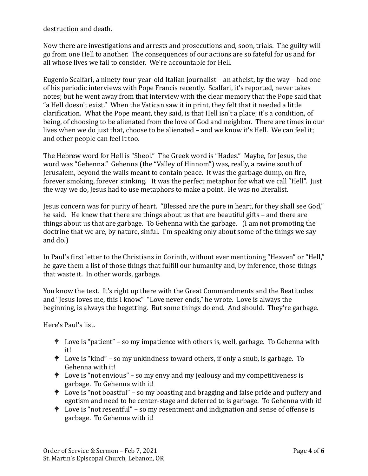destruction and death.

Now there are investigations and arrests and prosecutions and, soon, trials. The guilty will go from one Hell to another. The consequences of our actions are so fateful for us and for all whose lives we fail to consider. We're accountable for Hell.

Eugenio Scalfari, a ninety-four-year-old Italian journalist – an atheist, by the way – had one of his periodic interviews with Pope Francis recently. Scalfari, it's reported, never takes notes; but he went away from that interview with the clear memory that the Pope said that "a Hell doesn't exist." When the Vatican saw it in print, they felt that it needed a little clarification. What the Pope meant, they said, is that Hell isn't a place; it's a condition, of being, of choosing to be alienated from the love of God and neighbor. There are times in our lives when we do just that, choose to be alienated – and we know it's Hell. We can feel it; and other people can feel it too.

The Hebrew word for Hell is "Sheol." The Greek word is "Hades." Maybe, for Jesus, the word was "Gehenna." Gehenna (the "Valley of Hinnom") was, really, a ravine south of Jerusalem, beyond the walls meant to contain peace. It was the garbage dump, on fire, forever smoking, forever stinking. It was the perfect metaphor for what we call "Hell". Just the way we do, Jesus had to use metaphors to make a point. He was no literalist.

Jesus concern was for purity of heart. "Blessed are the pure in heart, for they shall see God," he said. He knew that there are things about us that are beautiful gifts – and there are things about us that are garbage. To Gehenna with the garbage. (I am not promoting the doctrine that we are, by nature, sinful. I'm speaking only about some of the things we say and do.)

In Paul's first letter to the Christians in Corinth, without ever mentioning "Heaven" or "Hell," he gave them a list of those things that fulfill our humanity and, by inference, those things that waste it. In other words, garbage.

You know the text. It's right up there with the Great Commandments and the Beatitudes and "Jesus loves me, this I know." "Love never ends," he wrote. Love is always the beginning, is always the begetting. But some things do end. And should. They're garbage.

Here's Paul's list.

- $\angle$  Love is "patient" so my impatience with others is, well, garbage. To Gehenna with it!
- $\bullet$  Love is "kind" so my unkindness toward others, if only a snub, is garbage. To Gehenna with it!
- $\bullet$  Love is "not envious" so my envy and my jealousy and my competitiveness is garbage. To Gehenna with it!
- Love is "not boastful" so my boasting and bragging and false pride and puffery and egotism and need to be center-stage and deferred to is garbage. To Gehenna with it!
- $\triangle$  Love is "not resentful" so my resentment and indignation and sense of offense is garbage. To Gehenna with it!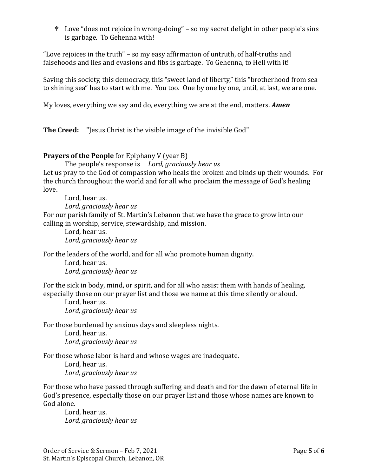Love "does not rejoice in wrong-doing" – so my secret delight in other people's sins is garbage. To Gehenna with!

"Love rejoices in the truth" – so my easy affirmation of untruth, of half-truths and falsehoods and lies and evasions and fibs is garbage. To Gehenna, to Hell with it!

Saving this society, this democracy, this "sweet land of liberty," this "brotherhood from sea to shining sea" has to start with me. You too. One by one by one, until, at last, we are one.

My loves, everything we say and do, everything we are at the end, matters. *Amen*

**The Creed:** "Jesus Christ is the visible image of the invisible God"

### **Prayers of the People** for Epiphany V (year B)

The people's response is *Lord, graciously hear us*

Let us pray to the God of compassion who heals the broken and binds up their wounds. For the church throughout the world and for all who proclaim the message of God's healing love.

Lord, hear us. *Lord, graciously hear us* For our parish family of St. Martin's Lebanon that we have the grace to grow into our calling in worship, service, stewardship, and mission.

Lord, hear us. *Lord, graciously hear us*

For the leaders of the world, and for all who promote human dignity.

Lord, hear us. *Lord, graciously hear us*

For the sick in body, mind, or spirit, and for all who assist them with hands of healing, especially those on our prayer list and those we name at this time silently or aloud.

Lord, hear us. *Lord, graciously hear us*

For those burdened by anxious days and sleepless nights.

Lord, hear us. *Lord, graciously hear us*

For those whose labor is hard and whose wages are inadequate.

Lord, hear us. *Lord, graciously hear us*

For those who have passed through suffering and death and for the dawn of eternal life in God's presence, especially those on our prayer list and those whose names are known to God alone.

Lord, hear us. *Lord, graciously hear us*